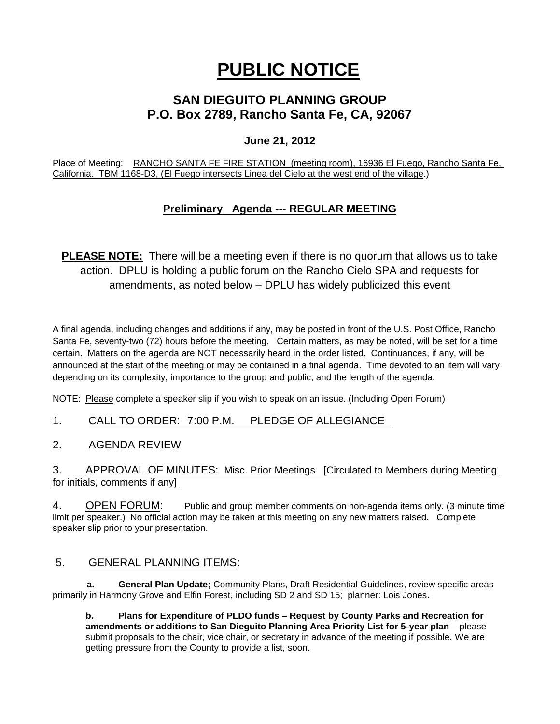# **PUBLIC NOTICE**

## **SAN DIEGUITO PLANNING GROUP P.O. Box 2789, Rancho Santa Fe, CA, 92067**

## **June 21, 2012**

Place of Meeting: RANCHO SANTA FE FIRE STATION (meeting room), 16936 El Fuego, Rancho Santa Fe, California. TBM 1168-D3, (El Fuego intersects Linea del Cielo at the west end of the village.)

## **Preliminary Agenda --- REGULAR MEETING**

**PLEASE NOTE:** There will be a meeting even if there is no quorum that allows us to take action. DPLU is holding a public forum on the Rancho Cielo SPA and requests for amendments, as noted below – DPLU has widely publicized this event

A final agenda, including changes and additions if any, may be posted in front of the U.S. Post Office, Rancho Santa Fe, seventy-two (72) hours before the meeting. Certain matters, as may be noted, will be set for a time certain. Matters on the agenda are NOT necessarily heard in the order listed. Continuances, if any, will be announced at the start of the meeting or may be contained in a final agenda. Time devoted to an item will vary depending on its complexity, importance to the group and public, and the length of the agenda.

NOTE: Please complete a speaker slip if you wish to speak on an issue. (Including Open Forum)

1. CALL TO ORDER: 7:00 P.M. PLEDGE OF ALLEGIANCE

2. AGENDA REVIEW

3. APPROVAL OF MINUTES: Misc. Prior Meetings [Circulated to Members during Meeting for initials, comments if any]

4. OPEN FORUM: Public and group member comments on non-agenda items only. (3 minute time limit per speaker.) No official action may be taken at this meeting on any new matters raised. Complete speaker slip prior to your presentation.

### 5. GENERAL PLANNING ITEMS:

 **a. General Plan Update;** Community Plans, Draft Residential Guidelines, review specific areas primarily in Harmony Grove and Elfin Forest, including SD 2 and SD 15; planner: Lois Jones.

**b. Plans for Expenditure of PLDO funds – Request by County Parks and Recreation for amendments or additions to San Dieguito Planning Area Priority List for 5-year plan** – please submit proposals to the chair, vice chair, or secretary in advance of the meeting if possible. We are getting pressure from the County to provide a list, soon.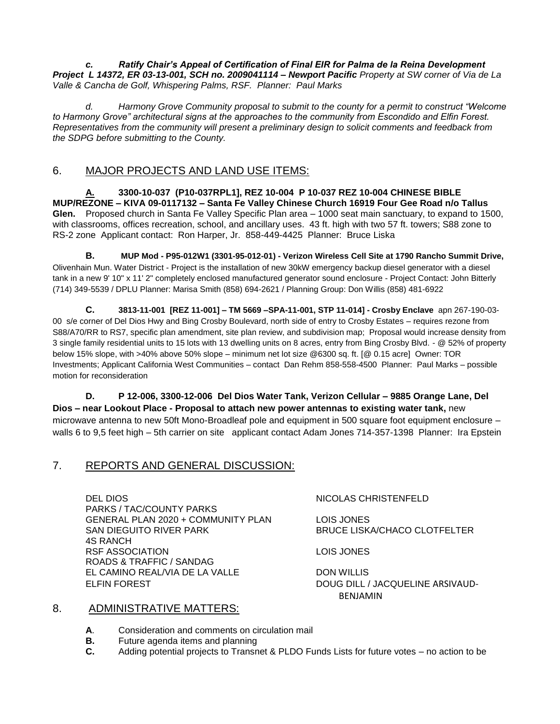*c. Ratify Chair's Appeal of Certification of Final EIR for Palma de la Reina Development Project L 14372, ER 03-13-001, SCH no. 2009041114 – Newport Pacific Property at SW corner of Via de La Valle & Cancha de Golf, Whispering Palms, RSF. Planner: Paul Marks*

*d. Harmony Grove Community proposal to submit to the county for a permit to construct "Welcome to Harmony Grove" architectural signs at the approaches to the community from Escondido and Elfin Forest. Representatives from the community will present a preliminary design to solicit comments and feedback from the SDPG before submitting to the County.* 

## 6. MAJOR PROJECTS AND LAND USE ITEMS:

**A. 3300-10-037 (P10-037RPL1], REZ 10-004 P 10-037 REZ 10-004 CHINESE BIBLE MUP/REZONE – KIVA 09-0117132 – Santa Fe Valley Chinese Church 16919 Four Gee Road n/o Tallus Glen.** Proposed church in Santa Fe Valley Specific Plan area – 1000 seat main sanctuary, to expand to 1500, with classrooms, offices recreation, school, and ancillary uses. 43 ft. high with two 57 ft. towers; S88 zone to RS-2 zone Applicant contact: Ron Harper, Jr. 858-449-4425 Planner: Bruce Liska

**B. MUP Mod - P95-012W1 (3301-95-012-01) - Verizon Wireless Cell Site at 1790 Rancho Summit Drive,**  Olivenhain Mun. Water District - Project is the installation of new 30kW emergency backup diesel generator with a diesel tank in a new 9' 10" x 11' 2" completely enclosed manufactured generator sound enclosure - Project Contact: John Bitterly (714) 349-5539 / DPLU Planner: Marisa Smith (858) 694-2621 / Planning Group: Don Willis (858) 481-6922

**C. 3813-11-001 [REZ 11-001] – TM 5669 –SPA-11-001, STP 11-014] - Crosby Enclave** apn 267-190-03- 00 s/e corner of Del Dios Hwy and Bing Crosby Boulevard, north side of entry to Crosby Estates – requires rezone from S88/A70/RR to RS7, specific plan amendment, site plan review, and subdivision map; Proposal would increase density from 3 single family residential units to 15 lots with 13 dwelling units on 8 acres, entry from Bing Crosby Blvd. - @ 52% of property below 15% slope, with >40% above 50% slope – minimum net lot size @6300 sq. ft. [@ 0.15 acre] Owner: TOR Investments; Applicant California West Communities – contact Dan Rehm 858-558-4500 Planner: Paul Marks – possible motion for reconsideration

**D. P 12-006, 3300-12-006 Del Dios Water Tank, Verizon Cellular – 9885 Orange Lane, Del Dios – near Lookout Place - Proposal to attach new power antennas to existing water tank,** new microwave antenna to new 50ft Mono-Broadleaf pole and equipment in 500 square foot equipment enclosure – walls 6 to 9,5 feet high – 5th carrier on site applicant contact Adam Jones 714-357-1398 Planner: Ira Epstein

### 7. REPORTS AND GENERAL DISCUSSION:

DEL DIOS NICOLAS CHRISTENFELD PARKS / TAC/COUNTY PARKS GENERAL PLAN 2020 + COMMUNITY PLAN LOIS JONES SAN DIEGUITO RIVER PARK BRUCE LISKA/CHACO CLOTFELTER 4S RANCH RSF ASSOCIATION LOIS JONES ROADS & TRAFFIC / SANDAG EL CAMINO REAL/VIA DE LA VALLE DON WILLIS ELFIN FOREST **DOUG DILL / JACQUELINE ARSIVAUD-**

BENJAMIN

#### 8. ADMINISTRATIVE MATTERS:

- **A**. Consideration and comments on circulation mail
- **B.** Future agenda items and planning
- **C.** Adding potential projects to Transnet & PLDO Funds Lists for future votes no action to be